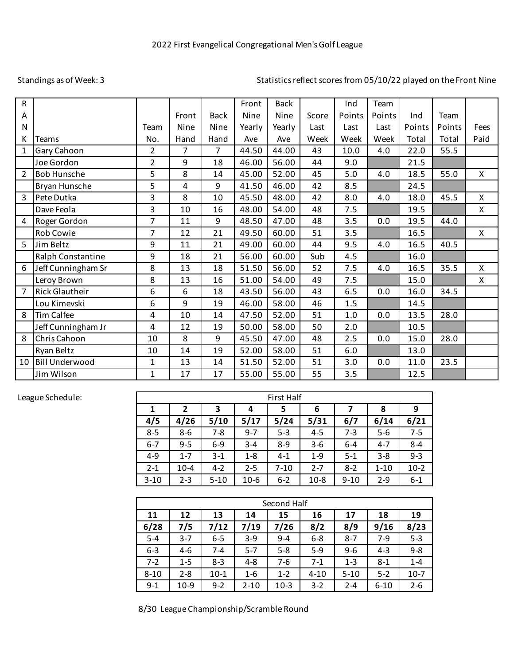## Standings as of Week: 3

## Statistics reflect scores from 05/10/22 played on the Front Nine

| R              |                       |                |       |             | Front  | <b>Back</b> |       | Ind    | Team   |        |        |              |
|----------------|-----------------------|----------------|-------|-------------|--------|-------------|-------|--------|--------|--------|--------|--------------|
| Α              |                       |                | Front | <b>Back</b> | Nine   | Nine        | Score | Points | Points | Ind    | Team   |              |
| $\mathsf{N}$   |                       | Team           | Nine  | Nine        | Yearly | Yearly      | Last  | Last   | Last   | Points | Points | Fees         |
| К              | <b>Teams</b>          | No.            | Hand  | Hand        | Ave    | Ave         | Week  | Week   | Week   | Total  | Total  | Paid         |
| $\mathbf{1}$   | Gary Cahoon           | 2              | 7     | 7           | 44.50  | 44.00       | 43    | 10.0   | 4.0    | 22.0   | 55.5   |              |
|                | Joe Gordon            | $\overline{2}$ | 9     | 18          | 46.00  | 56.00       | 44    | 9.0    |        | 21.5   |        |              |
| $\overline{2}$ | <b>Bob Hunsche</b>    | 5              | 8     | 14          | 45.00  | 52.00       | 45    | 5.0    | 4.0    | 18.5   | 55.0   | $\mathsf{X}$ |
|                | Bryan Hunsche         | 5              | 4     | 9           | 41.50  | 46.00       | 42    | 8.5    |        | 24.5   |        |              |
| 3              | Pete Dutka            | 3              | 8     | 10          | 45.50  | 48.00       | 42    | 8.0    | 4.0    | 18.0   | 45.5   | X            |
|                | Dave Feola            | 3              | 10    | 16          | 48.00  | 54.00       | 48    | 7.5    |        | 19.5   |        | X            |
| 4              | Roger Gordon          | $\overline{7}$ | 11    | 9           | 48.50  | 47.00       | 48    | 3.5    | 0.0    | 19.5   | 44.0   |              |
|                | Rob Cowie             | $\overline{7}$ | 12    | 21          | 49.50  | 60.00       | 51    | 3.5    |        | 16.5   |        | $\mathsf{X}$ |
| 5              | Jim Beltz             | 9              | 11    | 21          | 49.00  | 60.00       | 44    | 9.5    | 4.0    | 16.5   | 40.5   |              |
|                | Ralph Constantine     | 9              | 18    | 21          | 56.00  | 60.00       | Sub   | 4.5    |        | 16.0   |        |              |
| 6              | Jeff Cunningham Sr    | 8              | 13    | 18          | 51.50  | 56.00       | 52    | 7.5    | 4.0    | 16.5   | 35.5   | X            |
|                | Leroy Brown           | 8              | 13    | 16          | 51.00  | 54.00       | 49    | 7.5    |        | 15.0   |        | Χ            |
| $\overline{7}$ | Rick Glautheir        | 6              | 6     | 18          | 43.50  | 56.00       | 43    | 6.5    | 0.0    | 16.0   | 34.5   |              |
|                | Lou Kimevski          | 6              | 9     | 19          | 46.00  | 58.00       | 46    | 1.5    |        | 14.5   |        |              |
| 8              | <b>Tim Calfee</b>     | 4              | 10    | 14          | 47.50  | 52.00       | 51    | 1.0    | 0.0    | 13.5   | 28.0   |              |
|                | Jeff Cunningham Jr    | 4              | 12    | 19          | 50.00  | 58.00       | 50    | 2.0    |        | 10.5   |        |              |
| 8              | Chris Cahoon          | 10             | 8     | 9           | 45.50  | 47.00       | 48    | 2.5    | 0.0    | 15.0   | 28.0   |              |
|                | Ryan Beltz            | 10             | 14    | 19          | 52.00  | 58.00       | 51    | 6.0    |        | 13.0   |        |              |
| 10             | <b>Bill Underwood</b> | $\mathbf{1}$   | 13    | 14          | 51.50  | 52.00       | 51    | 3.0    | 0.0    | 11.0   | 23.5   |              |
|                | Jim Wilson            | $\mathbf{1}$   | 17    | 17          | 55.00  | 55.00       | 55    | 3.5    |        | 12.5   |        |              |

## League Schedule:

| <b>First Half</b> |             |          |         |          |         |          |          |         |  |
|-------------------|-------------|----------|---------|----------|---------|----------|----------|---------|--|
| 1                 | 3<br>2<br>4 |          |         | 5        | 6       |          | 8        | 9       |  |
| 4/5               | 4/26        | 5/10     | 5/17    | 5/24     | 5/31    | 6/7      | 6/14     | 6/21    |  |
| $8 - 5$           | 8-6         | $7 - 8$  | $9 - 7$ | $5 - 3$  | $4 - 5$ | 7-3      | $5-6$    | $7 - 5$ |  |
| $6 - 7$           | $9 - 5$     | $6-9$    | $3 - 4$ | $8-9$    | $3-6$   | $6 - 4$  | $4 - 7$  | $8 - 4$ |  |
| 4-9               | $1 - 7$     | $3-1$    | $1 - 8$ | $4-1$    | $1-9$   | $5-1$    | $3 - 8$  | $9 - 3$ |  |
| $2 - 1$           | $10 - 4$    | $4-2$    | $2 - 5$ | $7 - 10$ | $2 - 7$ | $8-2$    | $1 - 10$ | $10-2$  |  |
| $3 - 10$          | $2 - 3$     | $5 - 10$ | $10-6$  | $6 - 2$  | $10-8$  | $9 - 10$ | $2 - 9$  | $6 - 1$ |  |

| Second Half |         |         |          |         |          |          |          |         |  |
|-------------|---------|---------|----------|---------|----------|----------|----------|---------|--|
| 11          | 12      | 13      | 14       | 15      | 16       | 17       | 18       | 19      |  |
| 6/28        | 7/5     | 7/12    | 7/19     | 7/26    | 8/2      | 8/9      | 9/16     | 8/23    |  |
| $5 - 4$     | $3 - 7$ | $6-5$   | $3-9$    | $9 - 4$ | $6 - 8$  | $8 - 7$  | $7-9$    | $5 - 3$ |  |
| $6 - 3$     | $4-6$   | 7-4     | $5 - 7$  | $5 - 8$ | $5-9$    | $9-6$    | $4 - 3$  | $9 - 8$ |  |
| $7-2$       | $1 - 5$ | $8-3$   | $4 - 8$  | 7-6     | $7-1$    | $1 - 3$  | $8-1$    | $1 - 4$ |  |
| $8 - 10$    | $2 - 8$ | $10-1$  | $1 - 6$  | $1 - 2$ | $4 - 10$ | $5 - 10$ | $5 - 2$  | $10-7$  |  |
| $9-1$       | $10-9$  | $9 - 2$ | $2 - 10$ | $10-3$  | $3-2$    | $2 - 4$  | $6 - 10$ | $2 - 6$ |  |

8/30 League Championship/Scramble Round